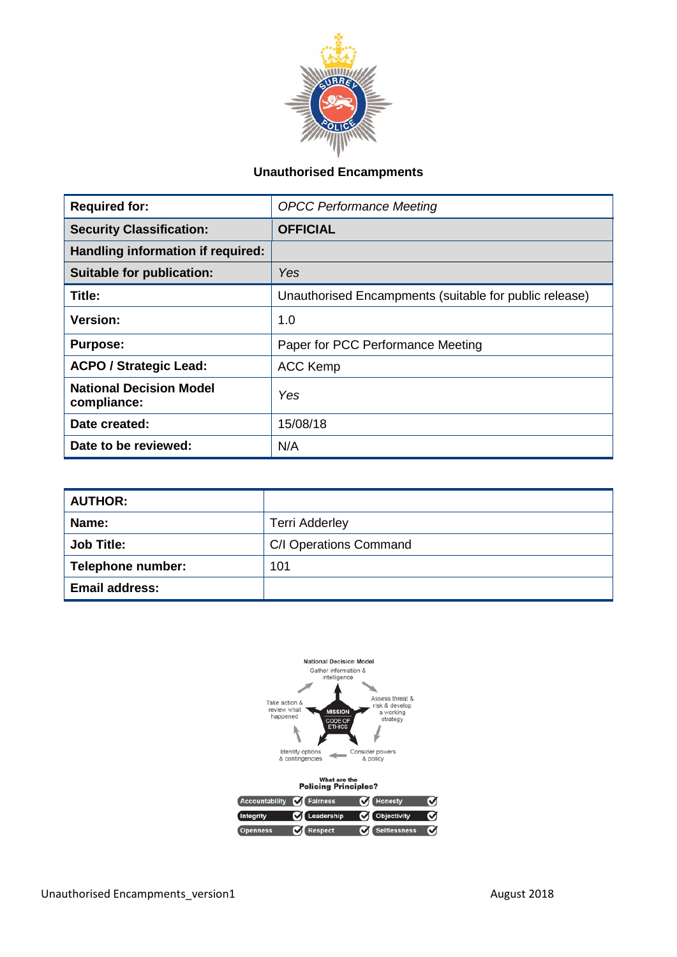

## **Unauthorised Encampments**

| <b>Required for:</b>                          | <b>OPCC Performance Meeting</b>                        |
|-----------------------------------------------|--------------------------------------------------------|
| <b>Security Classification:</b>               | <b>OFFICIAL</b>                                        |
| Handling information if required:             |                                                        |
| <b>Suitable for publication:</b>              | Yes                                                    |
| Title:                                        | Unauthorised Encampments (suitable for public release) |
| <b>Version:</b>                               | 1.0                                                    |
| <b>Purpose:</b>                               | Paper for PCC Performance Meeting                      |
| <b>ACPO / Strategic Lead:</b>                 | <b>ACC Kemp</b>                                        |
| <b>National Decision Model</b><br>compliance: | Yes                                                    |
| Date created:                                 | 15/08/18                                               |
| Date to be reviewed:                          | N/A                                                    |

| <b>AUTHOR:</b>        |                        |  |
|-----------------------|------------------------|--|
| Name:                 | <b>Terri Adderley</b>  |  |
| <b>Job Title:</b>     | C/I Operations Command |  |
| Telephone number:     | 101                    |  |
| <b>Email address:</b> |                        |  |

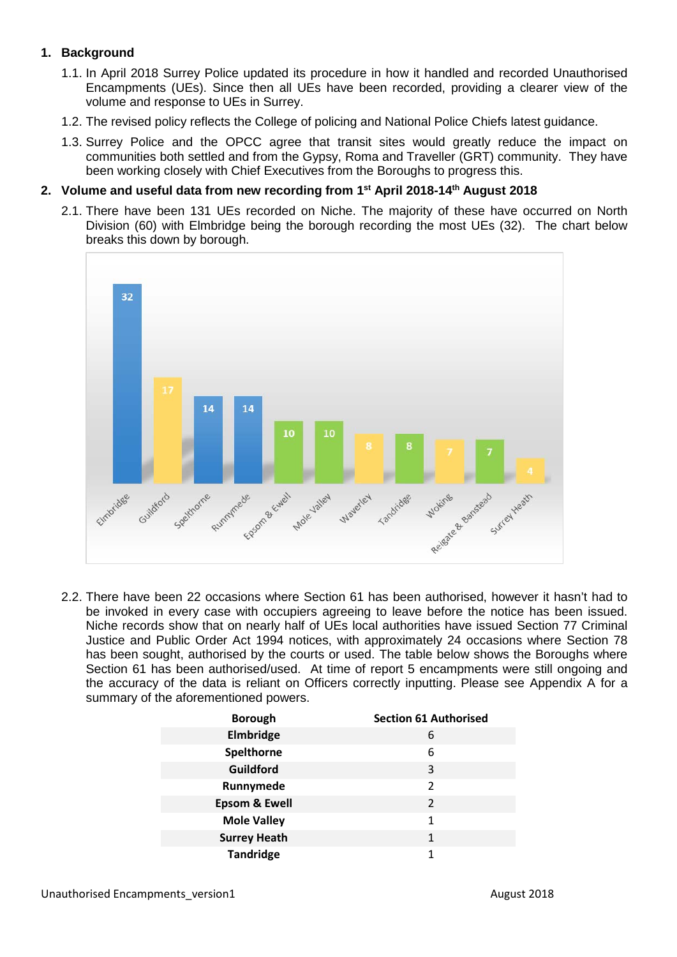## **1. Background**

- 1.1. In April 2018 Surrey Police updated its procedure in how it handled and recorded Unauthorised Encampments (UEs). Since then all UEs have been recorded, providing a clearer view of the volume and response to UEs in Surrey.
- 1.2. The revised policy reflects the College of policing and National Police Chiefs latest guidance.
- 1.3. Surrey Police and the OPCC agree that transit sites would greatly reduce the impact on communities both settled and from the Gypsy, Roma and Traveller (GRT) community. They have been working closely with Chief Executives from the Boroughs to progress this.

#### **2. Volume and useful data from new recording from 1st April 2018-14th August 2018**

2.1. There have been 131 UEs recorded on Niche. The majority of these have occurred on North Division (60) with Elmbridge being the borough recording the most UEs (32). The chart below breaks this down by borough.



2.2. There have been 22 occasions where Section 61 has been authorised, however it hasn't had to be invoked in every case with occupiers agreeing to leave before the notice has been issued. Niche records show that on nearly half of UEs local authorities have issued Section 77 Criminal Justice and Public Order Act 1994 notices, with approximately 24 occasions where Section 78 has been sought, authorised by the courts or used. The table below shows the Boroughs where Section 61 has been authorised/used. At time of report 5 encampments were still ongoing and the accuracy of the data is reliant on Officers correctly inputting. Please see Appendix A for a summary of the aforementioned powers.

| <b>Borough</b>           | <b>Section 61 Authorised</b> |
|--------------------------|------------------------------|
| Elmbridge                | 6                            |
| Spelthorne               | 6                            |
| Guildford                | 3                            |
| Runnymede                | 2                            |
| <b>Epsom &amp; Ewell</b> | 2                            |
| <b>Mole Valley</b>       | 1                            |
| <b>Surrey Heath</b>      | 1                            |
| <b>Tandridge</b>         |                              |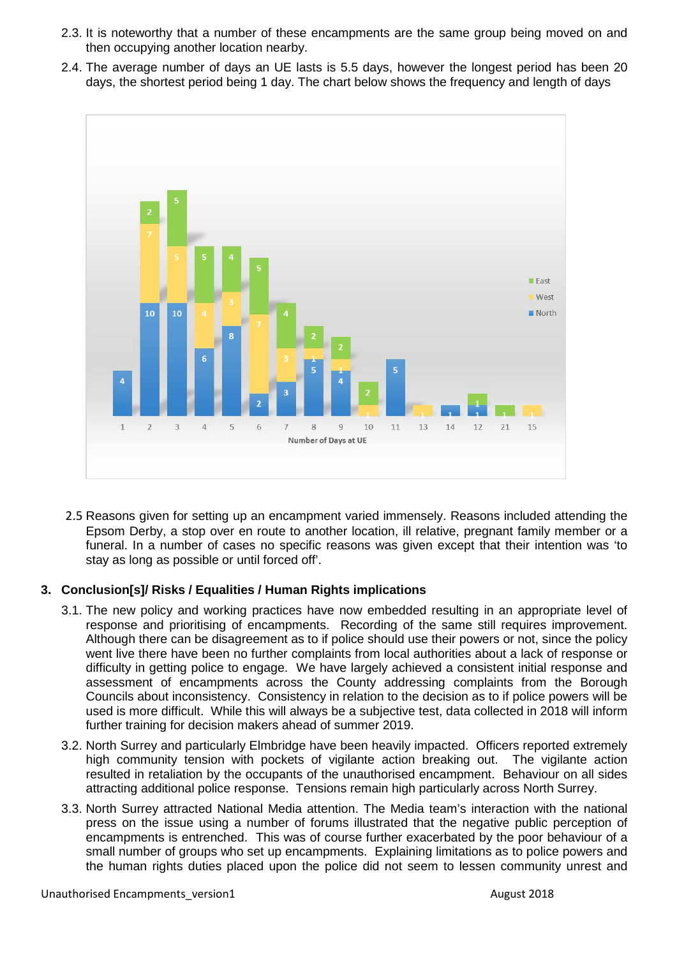- 2.3. It is noteworthy that a number of these encampments are the same group being moved on and then occupying another location nearby.
- 2.4. The average number of days an UE lasts is 5.5 days, however the longest period has been 20 days, the shortest period being 1 day. The chart below shows the frequency and length of days



2.5 Reasons given for setting up an encampment varied immensely. Reasons included attending the Epsom Derby, a stop over en route to another location, ill relative, pregnant family member or a funeral. In a number of cases no specific reasons was given except that their intention was 'to stay as long as possible or until forced off'.

## **3. Conclusion[s]/ Risks / Equalities / Human Rights implications**

- 3.1. The new policy and working practices have now embedded resulting in an appropriate level of response and prioritising of encampments. Recording of the same still requires improvement. Although there can be disagreement as to if police should use their powers or not, since the policy went live there have been no further complaints from local authorities about a lack of response or difficulty in getting police to engage. We have largely achieved a consistent initial response and assessment of encampments across the County addressing complaints from the Borough Councils about inconsistency. Consistency in relation to the decision as to if police powers will be used is more difficult. While this will always be a subjective test, data collected in 2018 will inform further training for decision makers ahead of summer 2019.
- 3.2. North Surrey and particularly Elmbridge have been heavily impacted. Officers reported extremely high community tension with pockets of vigilante action breaking out. The vigilante action resulted in retaliation by the occupants of the unauthorised encampment. Behaviour on all sides attracting additional police response. Tensions remain high particularly across North Surrey.
- 3.3. North Surrey attracted National Media attention. The Media team's interaction with the national press on the issue using a number of forums illustrated that the negative public perception of encampments is entrenched. This was of course further exacerbated by the poor behaviour of a small number of groups who set up encampments. Explaining limitations as to police powers and the human rights duties placed upon the police did not seem to lessen community unrest and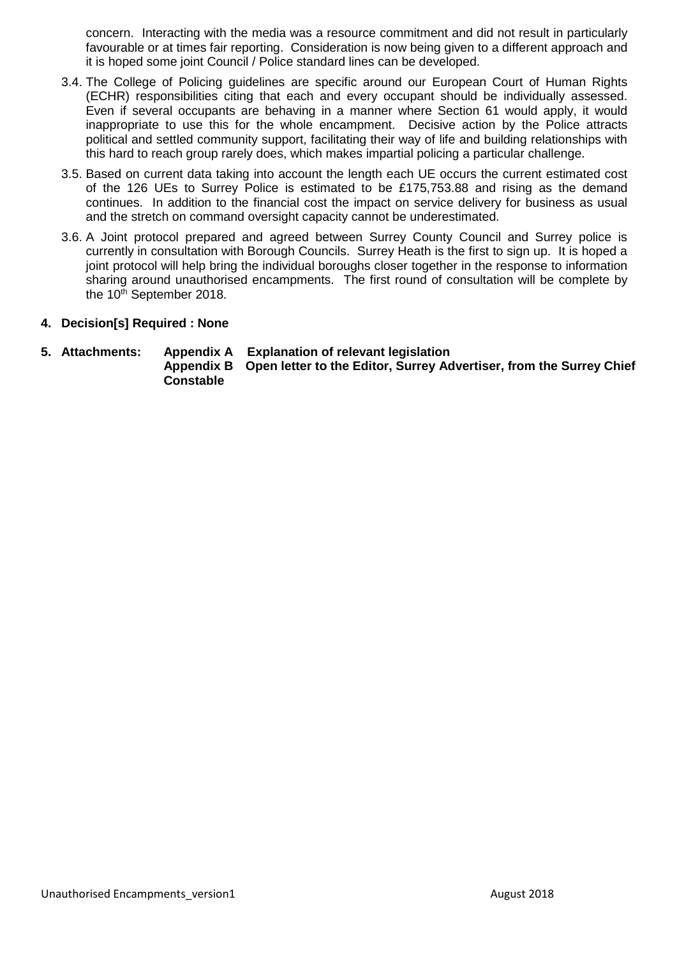concern. Interacting with the media was a resource commitment and did not result in particularly favourable or at times fair reporting. Consideration is now being given to a different approach and it is hoped some joint Council / Police standard lines can be developed.

- 3.4. The College of Policing guidelines are specific around our European Court of Human Rights (ECHR) responsibilities citing that each and every occupant should be individually assessed. Even if several occupants are behaving in a manner where Section 61 would apply, it would inappropriate to use this for the whole encampment. Decisive action by the Police attracts political and settled community support, facilitating their way of life and building relationships with this hard to reach group rarely does, which makes impartial policing a particular challenge.
- 3.5. Based on current data taking into account the length each UE occurs the current estimated cost of the 126 UEs to Surrey Police is estimated to be £175,753.88 and rising as the demand continues. In addition to the financial cost the impact on service delivery for business as usual and the stretch on command oversight capacity cannot be underestimated.
- 3.6. A Joint protocol prepared and agreed between Surrey County Council and Surrey police is currently in consultation with Borough Councils. Surrey Heath is the first to sign up. It is hoped a joint protocol will help bring the individual boroughs closer together in the response to information sharing around unauthorised encampments. The first round of consultation will be complete by the  $10<sup>th</sup>$  September 2018.
- **4. Decision[s] Required : None**

# **5. Attachments: Appendix A Explanation of relevant legislation**

**Open letter to the Editor, Surrey Advertiser, from the Surrey Chief Constable**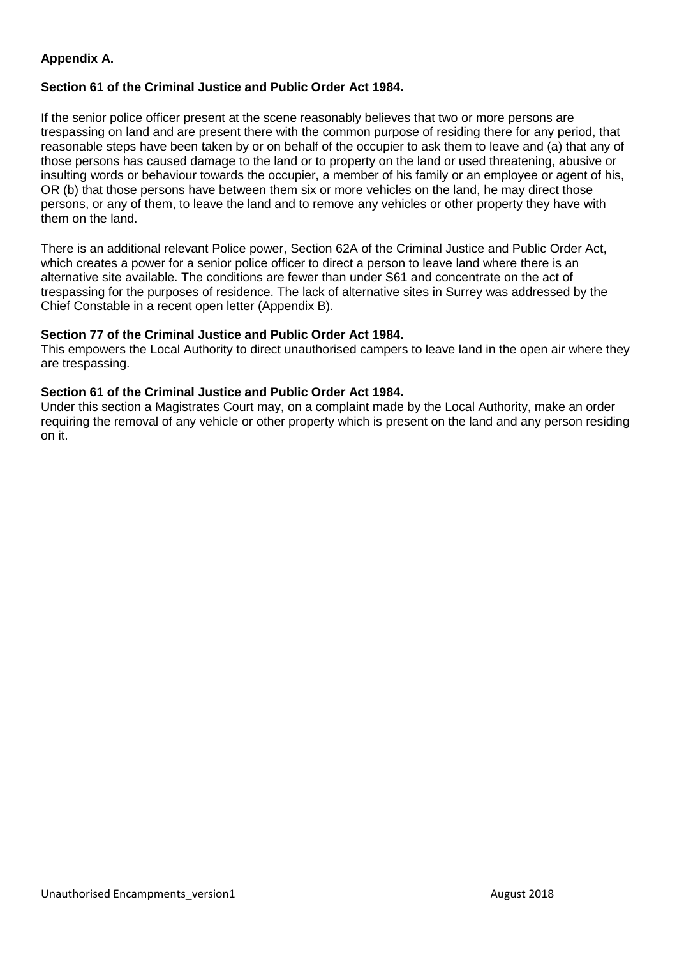## **Appendix A.**

## **Section 61 of the Criminal Justice and Public Order Act 1984.**

If the senior police officer present at the scene reasonably believes that two or more persons are [trespassing](https://docmanager.pnld.co.uk/content/D2007.htm) on [land](https://docmanager.pnld.co.uk/content/D2007.htm) and are present there with the common purpose of residing there for any period, that reasonable steps have been taken by or on behalf of the [occupier](https://docmanager.pnld.co.uk/content/D2007.htm) to ask them to leave and (a) that any of those persons has caused [damage](https://docmanager.pnld.co.uk/content/D2007.htm) to the land or to [property](https://docmanager.pnld.co.uk/content/D2007.htm) on the land or used threatening, abusive or insulting words or behaviour towards the occupier, a member of his family or an employee or agent of his, OR (b) that those persons have between them six or more [vehicles](https://docmanager.pnld.co.uk/content/D2007.htm) on the land, he may direct those persons, or any of them, to leave the land and to remove any vehicles or other property they have with them on the land.

There is an additional relevant Police power, Section 62A of the Criminal Justice and Public Order Act, which creates a power for a senior police officer to direct a person to leave land where there is an alternative site available. The conditions are fewer than under S61 and concentrate on the act of trespassing for the purposes of residence. The lack of alternative sites in Surrey was addressed by the Chief Constable in a recent open letter (Appendix B).

## **Section 77 of the Criminal Justice and Public Order Act 1984.**

This empowers the Local Authority to direct unauthorised campers to leave land in the open air where they are trespassing.

## **Section 61 of the Criminal Justice and Public Order Act 1984.**

Under this section a Magistrates Court may, on a complaint made by the Local Authority, make an order requiring the removal of any vehicle or other property which is present on the land and any person residing on it.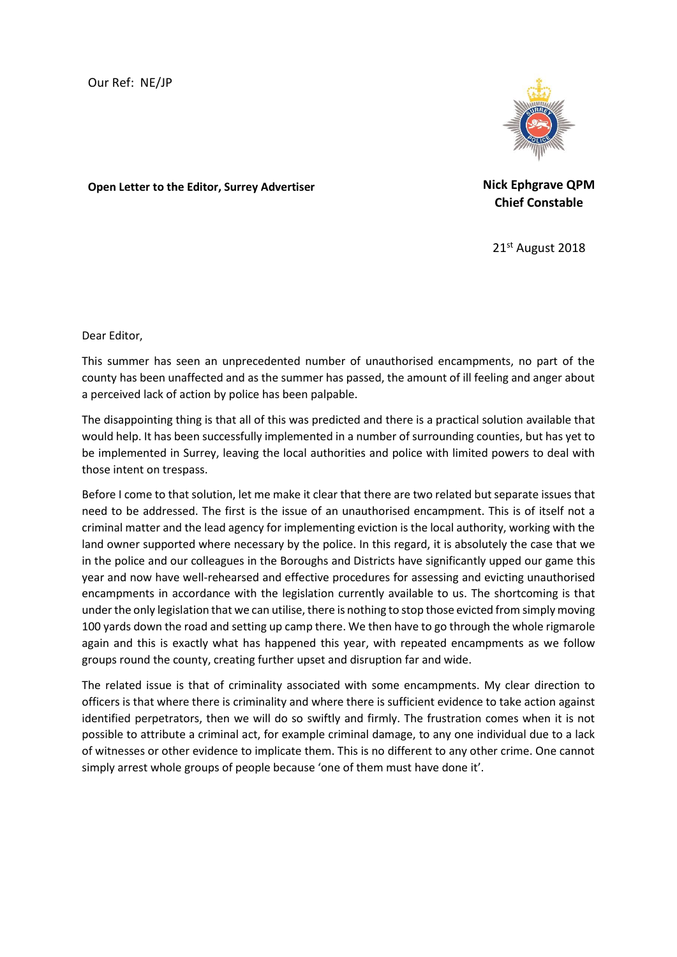**Open Letter to the Editor, Surrey Advertiser Nick Ephgrave QPM**

**Chief Constable**

21st August 2018

Dear Editor,

This summer has seen an unprecedented number of unauthorised encampments, no part of the county has been unaffected and as the summer has passed, the amount of ill feeling and anger about a perceived lack of action by police has been palpable.

The disappointing thing is that all of this was predicted and there is a practical solution available that would help. It has been successfully implemented in a number of surrounding counties, but has yet to be implemented in Surrey, leaving the local authorities and police with limited powers to deal with those intent on trespass.

Before I come to that solution, let me make it clear that there are two related but separate issues that need to be addressed. The first is the issue of an unauthorised encampment. This is of itself not a criminal matter and the lead agency for implementing eviction is the local authority, working with the land owner supported where necessary by the police. In this regard, it is absolutely the case that we in the police and our colleagues in the Boroughs and Districts have significantly upped our game this year and now have well-rehearsed and effective procedures for assessing and evicting unauthorised encampments in accordance with the legislation currently available to us. The shortcoming is that under the only legislation that we can utilise, there is nothing to stop those evicted from simply moving 100 yards down the road and setting up camp there. We then have to go through the whole rigmarole again and this is exactly what has happened this year, with repeated encampments as we follow groups round the county, creating further upset and disruption far and wide.

The related issue is that of criminality associated with some encampments. My clear direction to officers is that where there is criminality and where there is sufficient evidence to take action against identified perpetrators, then we will do so swiftly and firmly. The frustration comes when it is not possible to attribute a criminal act, for example criminal damage, to any one individual due to a lack of witnesses or other evidence to implicate them. This is no different to any other crime. One cannot simply arrest whole groups of people because 'one of them must have done it'.